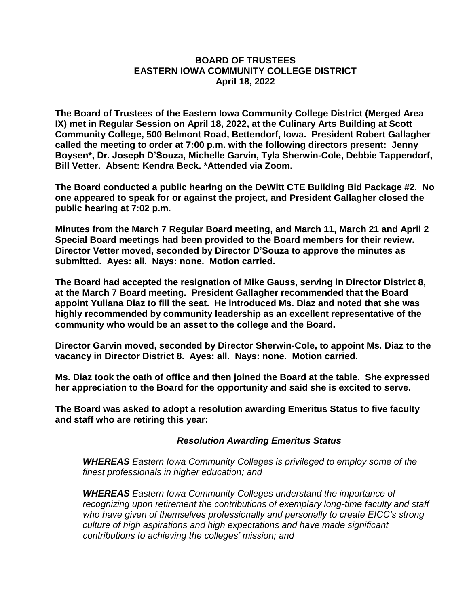## **BOARD OF TRUSTEES EASTERN IOWA COMMUNITY COLLEGE DISTRICT April 18, 2022**

**The Board of Trustees of the Eastern Iowa Community College District (Merged Area IX) met in Regular Session on April 18, 2022, at the Culinary Arts Building at Scott Community College, 500 Belmont Road, Bettendorf, Iowa. President Robert Gallagher called the meeting to order at 7:00 p.m. with the following directors present: Jenny Boysen\*, Dr. Joseph D'Souza, Michelle Garvin, Tyla Sherwin-Cole, Debbie Tappendorf, Bill Vetter. Absent: Kendra Beck. \*Attended via Zoom.**

**The Board conducted a public hearing on the DeWitt CTE Building Bid Package #2. No one appeared to speak for or against the project, and President Gallagher closed the public hearing at 7:02 p.m.** 

**Minutes from the March 7 Regular Board meeting, and March 11, March 21 and April 2 Special Board meetings had been provided to the Board members for their review. Director Vetter moved, seconded by Director D'Souza to approve the minutes as submitted. Ayes: all. Nays: none. Motion carried.**

**The Board had accepted the resignation of Mike Gauss, serving in Director District 8, at the March 7 Board meeting. President Gallagher recommended that the Board appoint Yuliana Diaz to fill the seat. He introduced Ms. Diaz and noted that she was highly recommended by community leadership as an excellent representative of the community who would be an asset to the college and the Board.**

**Director Garvin moved, seconded by Director Sherwin-Cole, to appoint Ms. Diaz to the vacancy in Director District 8. Ayes: all. Nays: none. Motion carried.**

**Ms. Diaz took the oath of office and then joined the Board at the table. She expressed her appreciation to the Board for the opportunity and said she is excited to serve.**

**The Board was asked to adopt a resolution awarding Emeritus Status to five faculty and staff who are retiring this year:**

## *Resolution Awarding Emeritus Status*

*WHEREAS Eastern Iowa Community Colleges is privileged to employ some of the finest professionals in higher education; and* 

*WHEREAS Eastern Iowa Community Colleges understand the importance of recognizing upon retirement the contributions of exemplary long-time faculty and staff*  who have given of themselves professionally and personally to create EICC's strong *culture of high aspirations and high expectations and have made significant contributions to achieving the colleges' mission; and*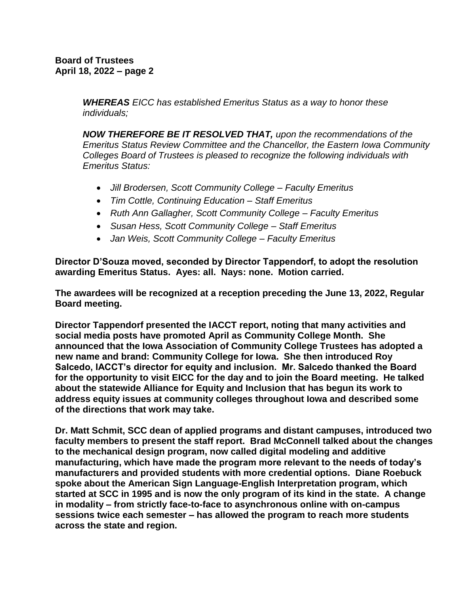*WHEREAS EICC has established Emeritus Status as a way to honor these individuals;* 

*NOW THEREFORE BE IT RESOLVED THAT, upon the recommendations of the Emeritus Status Review Committee and the Chancellor, the Eastern Iowa Community Colleges Board of Trustees is pleased to recognize the following individuals with Emeritus Status:* 

- *Jill Brodersen, Scott Community College – Faculty Emeritus*
- *Tim Cottle, Continuing Education – Staff Emeritus*
- *Ruth Ann Gallagher, Scott Community College – Faculty Emeritus*
- *Susan Hess, Scott Community College – Staff Emeritus*
- *Jan Weis, Scott Community College – Faculty Emeritus*

**Director D'Souza moved, seconded by Director Tappendorf, to adopt the resolution awarding Emeritus Status. Ayes: all. Nays: none. Motion carried.**

**The awardees will be recognized at a reception preceding the June 13, 2022, Regular Board meeting.**

**Director Tappendorf presented the IACCT report, noting that many activities and social media posts have promoted April as Community College Month. She announced that the Iowa Association of Community College Trustees has adopted a new name and brand: Community College for Iowa. She then introduced Roy Salcedo, IACCT's director for equity and inclusion. Mr. Salcedo thanked the Board for the opportunity to visit EICC for the day and to join the Board meeting. He talked about the statewide Alliance for Equity and Inclusion that has begun its work to address equity issues at community colleges throughout Iowa and described some of the directions that work may take.**

**Dr. Matt Schmit, SCC dean of applied programs and distant campuses, introduced two faculty members to present the staff report. Brad McConnell talked about the changes to the mechanical design program, now called digital modeling and additive manufacturing, which have made the program more relevant to the needs of today's manufacturers and provided students with more credential options. Diane Roebuck spoke about the American Sign Language-English Interpretation program, which started at SCC in 1995 and is now the only program of its kind in the state. A change in modality – from strictly face-to-face to asynchronous online with on-campus sessions twice each semester – has allowed the program to reach more students across the state and region.**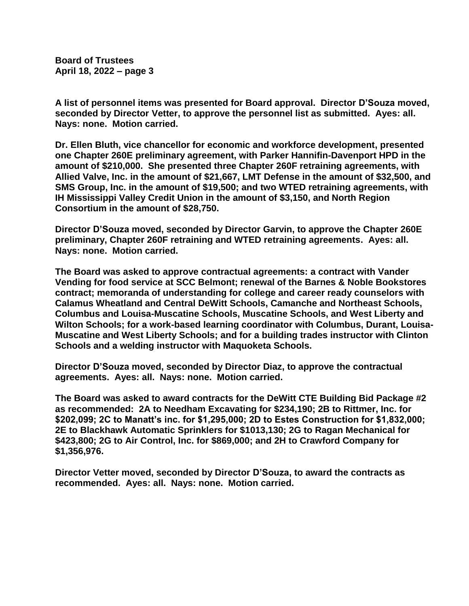**Board of Trustees April 18, 2022 – page 3**

**A list of personnel items was presented for Board approval. Director D'Souza moved, seconded by Director Vetter, to approve the personnel list as submitted. Ayes: all. Nays: none. Motion carried.**

**Dr. Ellen Bluth, vice chancellor for economic and workforce development, presented one Chapter 260E preliminary agreement, with Parker Hannifin-Davenport HPD in the amount of \$210,000. She presented three Chapter 260F retraining agreements, with Allied Valve, Inc. in the amount of \$21,667, LMT Defense in the amount of \$32,500, and SMS Group, Inc. in the amount of \$19,500; and two WTED retraining agreements, with IH Mississippi Valley Credit Union in the amount of \$3,150, and North Region Consortium in the amount of \$28,750.**

**Director D'Souza moved, seconded by Director Garvin, to approve the Chapter 260E preliminary, Chapter 260F retraining and WTED retraining agreements. Ayes: all. Nays: none. Motion carried.**

**The Board was asked to approve contractual agreements: a contract with Vander Vending for food service at SCC Belmont; renewal of the Barnes & Noble Bookstores contract; memoranda of understanding for college and career ready counselors with Calamus Wheatland and Central DeWitt Schools, Camanche and Northeast Schools, Columbus and Louisa-Muscatine Schools, Muscatine Schools, and West Liberty and Wilton Schools; for a work-based learning coordinator with Columbus, Durant, Louisa-Muscatine and West Liberty Schools; and for a building trades instructor with Clinton Schools and a welding instructor with Maquoketa Schools.**

**Director D'Souza moved, seconded by Director Diaz, to approve the contractual agreements. Ayes: all. Nays: none. Motion carried.**

**The Board was asked to award contracts for the DeWitt CTE Building Bid Package #2 as recommended: 2A to Needham Excavating for \$234,190; 2B to Rittmer, Inc. for \$202,099; 2C to Manatt's inc. for \$1,295,000; 2D to Estes Construction for \$1,832,000; 2E to Blackhawk Automatic Sprinklers for \$1013,130; 2G to Ragan Mechanical for \$423,800; 2G to Air Control, Inc. for \$869,000; and 2H to Crawford Company for \$1,356,976.**

**Director Vetter moved, seconded by Director D'Souza, to award the contracts as recommended. Ayes: all. Nays: none. Motion carried.**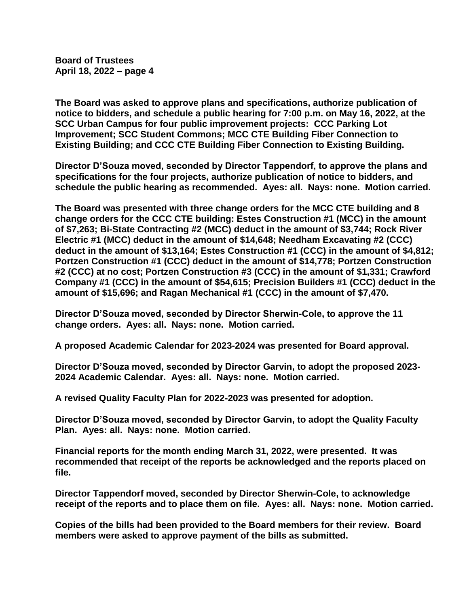**Board of Trustees April 18, 2022 – page 4**

**The Board was asked to approve plans and specifications, authorize publication of notice to bidders, and schedule a public hearing for 7:00 p.m. on May 16, 2022, at the SCC Urban Campus for four public improvement projects: CCC Parking Lot Improvement; SCC Student Commons; MCC CTE Building Fiber Connection to Existing Building; and CCC CTE Building Fiber Connection to Existing Building.**

**Director D'Souza moved, seconded by Director Tappendorf, to approve the plans and specifications for the four projects, authorize publication of notice to bidders, and schedule the public hearing as recommended. Ayes: all. Nays: none. Motion carried.**

**The Board was presented with three change orders for the MCC CTE building and 8 change orders for the CCC CTE building: Estes Construction #1 (MCC) in the amount of \$7,263; Bi-State Contracting #2 (MCC) deduct in the amount of \$3,744; Rock River Electric #1 (MCC) deduct in the amount of \$14,648; Needham Excavating #2 (CCC) deduct in the amount of \$13,164; Estes Construction #1 (CCC) in the amount of \$4,812; Portzen Construction #1 (CCC) deduct in the amount of \$14,778; Portzen Construction #2 (CCC) at no cost; Portzen Construction #3 (CCC) in the amount of \$1,331; Crawford Company #1 (CCC) in the amount of \$54,615; Precision Builders #1 (CCC) deduct in the amount of \$15,696; and Ragan Mechanical #1 (CCC) in the amount of \$7,470.**

**Director D'Souza moved, seconded by Director Sherwin-Cole, to approve the 11 change orders. Ayes: all. Nays: none. Motion carried.**

**A proposed Academic Calendar for 2023-2024 was presented for Board approval.**

**Director D'Souza moved, seconded by Director Garvin, to adopt the proposed 2023- 2024 Academic Calendar. Ayes: all. Nays: none. Motion carried.**

**A revised Quality Faculty Plan for 2022-2023 was presented for adoption.**

**Director D'Souza moved, seconded by Director Garvin, to adopt the Quality Faculty Plan. Ayes: all. Nays: none. Motion carried.**

**Financial reports for the month ending March 31, 2022, were presented. It was recommended that receipt of the reports be acknowledged and the reports placed on file.**

**Director Tappendorf moved, seconded by Director Sherwin-Cole, to acknowledge receipt of the reports and to place them on file. Ayes: all. Nays: none. Motion carried.**

**Copies of the bills had been provided to the Board members for their review. Board members were asked to approve payment of the bills as submitted.**